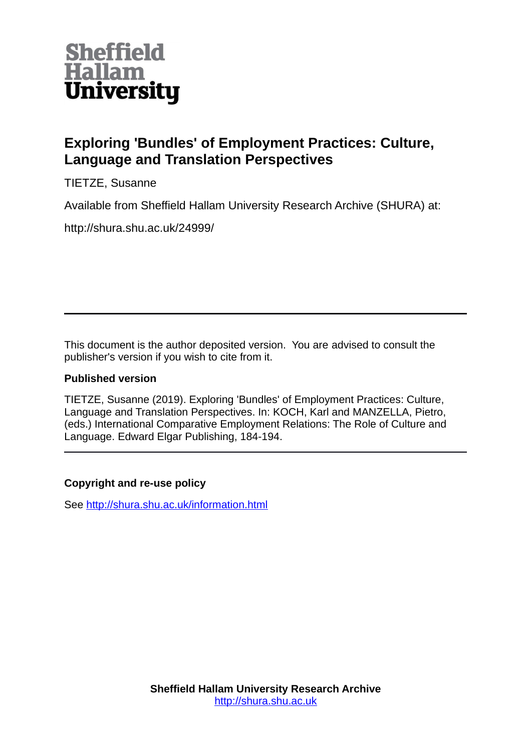

## **Exploring 'Bundles' of Employment Practices: Culture, Language and Translation Perspectives**

TIETZE, Susanne

Available from Sheffield Hallam University Research Archive (SHURA) at:

http://shura.shu.ac.uk/24999/

This document is the author deposited version. You are advised to consult the publisher's version if you wish to cite from it.

## **Published version**

TIETZE, Susanne (2019). Exploring 'Bundles' of Employment Practices: Culture, Language and Translation Perspectives. In: KOCH, Karl and MANZELLA, Pietro, (eds.) International Comparative Employment Relations: The Role of Culture and Language. Edward Elgar Publishing, 184-194.

## **Copyright and re-use policy**

See<http://shura.shu.ac.uk/information.html>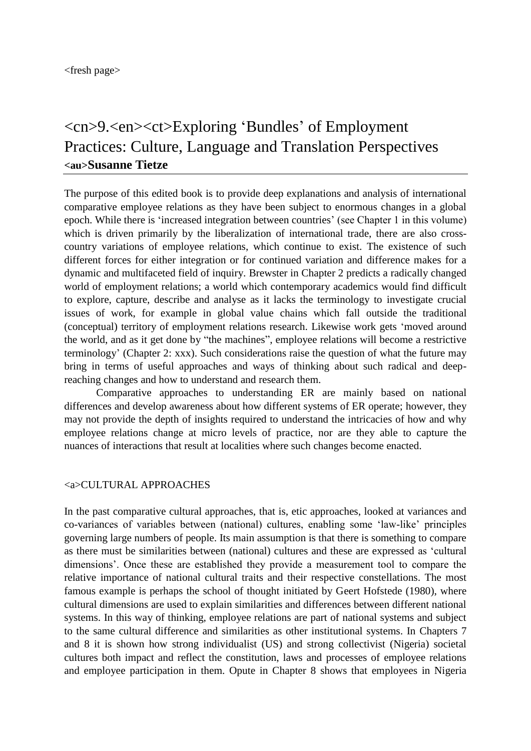<fresh page>

# <cn>9.<en><ct>Exploring 'Bundles' of Employment Practices: Culture, Language and Translation Perspectives **<au>Susanne Tietze**

The purpose of this edited book is to provide deep explanations and analysis of international comparative employee relations as they have been subject to enormous changes in a global epoch. While there is 'increased integration between countries' (see Chapter 1 in this volume) which is driven primarily by the liberalization of international trade, there are also crosscountry variations of employee relations, which continue to exist. The existence of such different forces for either integration or for continued variation and difference makes for a dynamic and multifaceted field of inquiry. Brewster in Chapter 2 predicts a radically changed world of employment relations; a world which contemporary academics would find difficult to explore, capture, describe and analyse as it lacks the terminology to investigate crucial issues of work, for example in global value chains which fall outside the traditional (conceptual) territory of employment relations research. Likewise work gets 'moved around the world, and as it get done by "the machines", employee relations will become a restrictive terminology' (Chapter 2: xxx). Such considerations raise the question of what the future may bring in terms of useful approaches and ways of thinking about such radical and deepreaching changes and how to understand and research them.

Comparative approaches to understanding ER are mainly based on national differences and develop awareness about how different systems of ER operate; however, they may not provide the depth of insights required to understand the intricacies of how and why employee relations change at micro levels of practice, nor are they able to capture the nuances of interactions that result at localities where such changes become enacted.

#### <a>CULTURAL APPROACHES

In the past comparative cultural approaches, that is, etic approaches, looked at variances and co-variances of variables between (national) cultures, enabling some 'law-like' principles governing large numbers of people. Its main assumption is that there is something to compare as there must be similarities between (national) cultures and these are expressed as 'cultural dimensions'. Once these are established they provide a measurement tool to compare the relative importance of national cultural traits and their respective constellations. The most famous example is perhaps the school of thought initiated by Geert Hofstede (1980), where cultural dimensions are used to explain similarities and differences between different national systems. In this way of thinking, employee relations are part of national systems and subject to the same cultural difference and similarities as other institutional systems. In Chapters 7 and 8 it is shown how strong individualist (US) and strong collectivist (Nigeria) societal cultures both impact and reflect the constitution, laws and processes of employee relations and employee participation in them. Opute in Chapter 8 shows that employees in Nigeria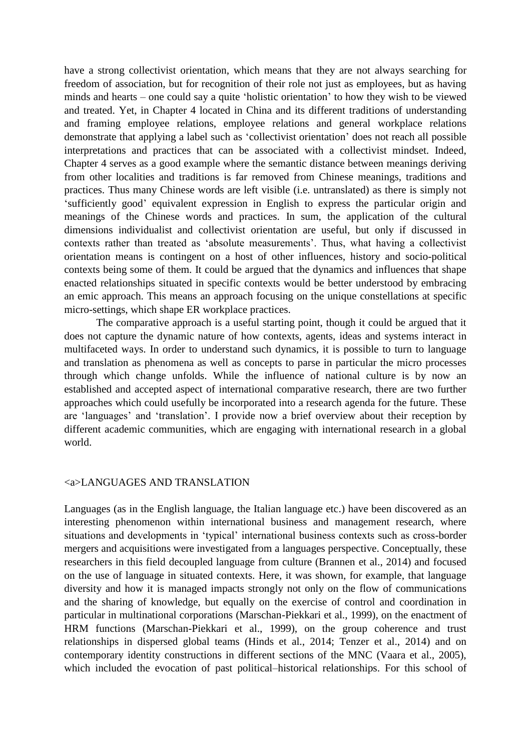have a strong collectivist orientation, which means that they are not always searching for freedom of association, but for recognition of their role not just as employees, but as having minds and hearts – one could say a quite 'holistic orientation' to how they wish to be viewed and treated. Yet, in Chapter 4 located in China and its different traditions of understanding and framing employee relations, employee relations and general workplace relations demonstrate that applying a label such as 'collectivist orientation' does not reach all possible interpretations and practices that can be associated with a collectivist mindset. Indeed, Chapter 4 serves as a good example where the semantic distance between meanings deriving from other localities and traditions is far removed from Chinese meanings, traditions and practices. Thus many Chinese words are left visible (i.e. untranslated) as there is simply not 'sufficiently good' equivalent expression in English to express the particular origin and meanings of the Chinese words and practices. In sum, the application of the cultural dimensions individualist and collectivist orientation are useful, but only if discussed in contexts rather than treated as 'absolute measurements'. Thus, what having a collectivist orientation means is contingent on a host of other influences, history and socio-political contexts being some of them. It could be argued that the dynamics and influences that shape enacted relationships situated in specific contexts would be better understood by embracing an emic approach. This means an approach focusing on the unique constellations at specific micro-settings, which shape ER workplace practices.

The comparative approach is a useful starting point, though it could be argued that it does not capture the dynamic nature of how contexts, agents, ideas and systems interact in multifaceted ways. In order to understand such dynamics, it is possible to turn to language and translation as phenomena as well as concepts to parse in particular the micro processes through which change unfolds. While the influence of national culture is by now an established and accepted aspect of international comparative research, there are two further approaches which could usefully be incorporated into a research agenda for the future. These are 'languages' and 'translation'. I provide now a brief overview about their reception by different academic communities, which are engaging with international research in a global world.

#### <a>LANGUAGES AND TRANSLATION

Languages (as in the English language, the Italian language etc.) have been discovered as an interesting phenomenon within international business and management research, where situations and developments in 'typical' international business contexts such as cross-border mergers and acquisitions were investigated from a languages perspective. Conceptually, these researchers in this field decoupled language from culture (Brannen et al., 2014) and focused on the use of language in situated contexts. Here, it was shown, for example, that language diversity and how it is managed impacts strongly not only on the flow of communications and the sharing of knowledge, but equally on the exercise of control and coordination in particular in multinational corporations (Marschan-Piekkari et al., 1999), on the enactment of HRM functions (Marschan-Piekkari et al., 1999), on the group coherence and trust relationships in dispersed global teams (Hinds et al., 2014; Tenzer et al., 2014) and on contemporary identity constructions in different sections of the MNC (Vaara et al., 2005), which included the evocation of past political–historical relationships. For this school of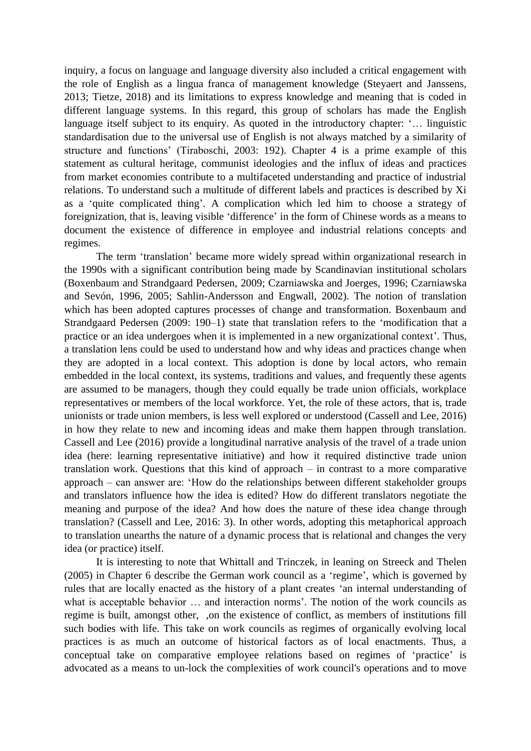inquiry, a focus on language and language diversity also included a critical engagement with the role of English as a lingua franca of management knowledge (Steyaert and Janssens, 2013; Tietze, 2018) and its limitations to express knowledge and meaning that is coded in different language systems. In this regard, this group of scholars has made the English language itself subject to its enquiry. As quoted in the introductory chapter: '… linguistic standardisation due to the universal use of English is not always matched by a similarity of structure and functions' (Tiraboschi, 2003: 192). Chapter 4 is a prime example of this statement as cultural heritage, communist ideologies and the influx of ideas and practices from market economies contribute to a multifaceted understanding and practice of industrial relations. To understand such a multitude of different labels and practices is described by Xi as a 'quite complicated thing'. A complication which led him to choose a strategy of foreignization, that is, leaving visible 'difference' in the form of Chinese words as a means to document the existence of difference in employee and industrial relations concepts and regimes.

The term 'translation' became more widely spread within organizational research in the 1990s with a significant contribution being made by Scandinavian institutional scholars (Boxenbaum and Strandgaard Pedersen, 2009; Czarniawska and Joerges, 1996; Czarniawska and Sevón, 1996, 2005; Sahlin-Andersson and Engwall, 2002). The notion of translation which has been adopted captures processes of change and transformation. Boxenbaum and Strandgaard Pedersen (2009: 190-1) state that translation refers to the 'modification that a practice or an idea undergoes when it is implemented in a new organizational context'. Thus, a translation lens could be used to understand how and why ideas and practices change when they are adopted in a local context. This adoption is done by local actors, who remain embedded in the local context, its systems, traditions and values, and frequently these agents are assumed to be managers, though they could equally be trade union officials, workplace representatives or members of the local workforce. Yet, the role of these actors, that is, trade unionists or trade union members, is less well explored or understood (Cassell and Lee, 2016) in how they relate to new and incoming ideas and make them happen through translation. Cassell and Lee (2016) provide a longitudinal narrative analysis of the travel of a trade union idea (here: learning representative initiative) and how it required distinctive trade union translation work. Questions that this kind of approach – in contrast to a more comparative approach – can answer are: 'How do the relationships between different stakeholder groups and translators influence how the idea is edited? How do different translators negotiate the meaning and purpose of the idea? And how does the nature of these idea change through translation? (Cassell and Lee, 2016: 3). In other words, adopting this metaphorical approach to translation unearths the nature of a dynamic process that is relational and changes the very idea (or practice) itself.

It is interesting to note that Whittall and Trinczek, in leaning on Streeck and Thelen (2005) in Chapter 6 describe the German work council as a 'regime', which is governed by rules that are locally enacted as the history of a plant creates 'an internal understanding of what is acceptable behavior ... and interaction norms'. The notion of the work councils as regime is built, amongst other, ,on the existence of conflict, as members of institutions fill such bodies with life. This take on work councils as regimes of organically evolving local practices is as much an outcome of historical factors as of local enactments. Thus, a conceptual take on comparative employee relations based on regimes of 'practice' is advocated as a means to un-lock the complexities of work council's operations and to move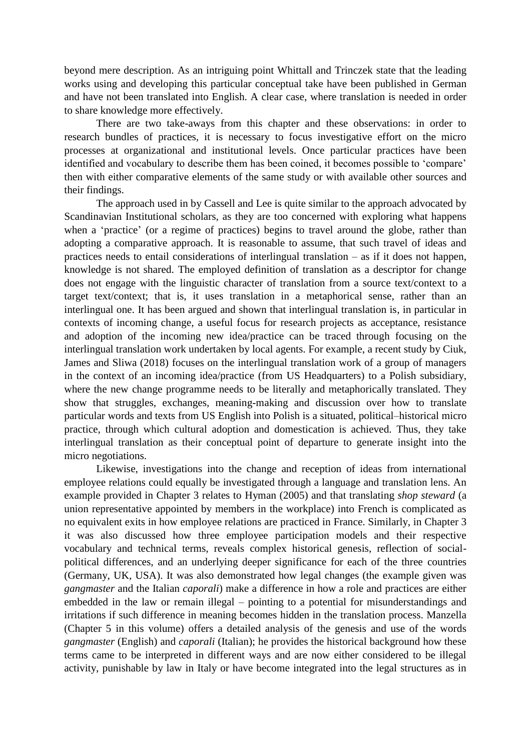beyond mere description. As an intriguing point Whittall and Trinczek state that the leading works using and developing this particular conceptual take have been published in German and have not been translated into English. A clear case, where translation is needed in order to share knowledge more effectively.

There are two take-aways from this chapter and these observations: in order to research bundles of practices, it is necessary to focus investigative effort on the micro processes at organizational and institutional levels. Once particular practices have been identified and vocabulary to describe them has been coined, it becomes possible to 'compare' then with either comparative elements of the same study or with available other sources and their findings.

The approach used in by Cassell and Lee is quite similar to the approach advocated by Scandinavian Institutional scholars, as they are too concerned with exploring what happens when a 'practice' (or a regime of practices) begins to travel around the globe, rather than adopting a comparative approach. It is reasonable to assume, that such travel of ideas and practices needs to entail considerations of interlingual translation – as if it does not happen, knowledge is not shared. The employed definition of translation as a descriptor for change does not engage with the linguistic character of translation from a source text/context to a target text/context; that is, it uses translation in a metaphorical sense, rather than an interlingual one. It has been argued and shown that interlingual translation is, in particular in contexts of incoming change, a useful focus for research projects as acceptance, resistance and adoption of the incoming new idea/practice can be traced through focusing on the interlingual translation work undertaken by local agents. For example, a recent study by Ciuk, James and Sliwa (2018) focuses on the interlingual translation work of a group of managers in the context of an incoming idea/practice (from US Headquarters) to a Polish subsidiary, where the new change programme needs to be literally and metaphorically translated. They show that struggles, exchanges, meaning-making and discussion over how to translate particular words and texts from US English into Polish is a situated, political–historical micro practice, through which cultural adoption and domestication is achieved. Thus, they take interlingual translation as their conceptual point of departure to generate insight into the micro negotiations.

Likewise, investigations into the change and reception of ideas from international employee relations could equally be investigated through a language and translation lens. An example provided in Chapter 3 relates to Hyman (2005) and that translating *shop steward* (a union representative appointed by members in the workplace) into French is complicated as no equivalent exits in how employee relations are practiced in France. Similarly, in Chapter 3 it was also discussed how three employee participation models and their respective vocabulary and technical terms, reveals complex historical genesis, reflection of socialpolitical differences, and an underlying deeper significance for each of the three countries (Germany, UK, USA). It was also demonstrated how legal changes (the example given was *gangmaster* and the Italian *caporali*) make a difference in how a role and practices are either embedded in the law or remain illegal – pointing to a potential for misunderstandings and irritations if such difference in meaning becomes hidden in the translation process. Manzella (Chapter 5 in this volume) offers a detailed analysis of the genesis and use of the words *gangmaster* (English) and *caporali* (Italian); he provides the historical background how these terms came to be interpreted in different ways and are now either considered to be illegal activity, punishable by law in Italy or have become integrated into the legal structures as in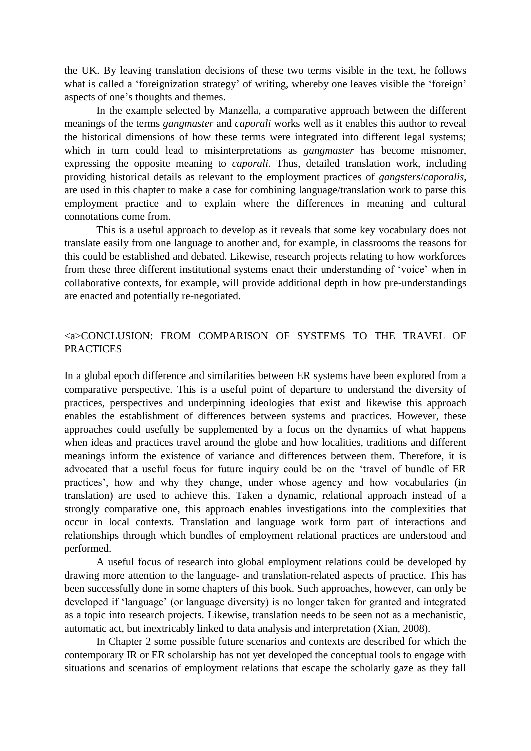the UK. By leaving translation decisions of these two terms visible in the text, he follows what is called a 'foreignization strategy' of writing, whereby one leaves visible the 'foreign' aspects of one's thoughts and themes.

In the example selected by Manzella, a comparative approach between the different meanings of the terms *gangmaster* and *caporali* works well as it enables this author to reveal the historical dimensions of how these terms were integrated into different legal systems; which in turn could lead to misinterpretations as *gangmaster* has become misnomer, expressing the opposite meaning to *caporali*. Thus, detailed translation work, including providing historical details as relevant to the employment practices of *gangsters*/*caporalis*, are used in this chapter to make a case for combining language/translation work to parse this employment practice and to explain where the differences in meaning and cultural connotations come from.

This is a useful approach to develop as it reveals that some key vocabulary does not translate easily from one language to another and, for example, in classrooms the reasons for this could be established and debated. Likewise, research projects relating to how workforces from these three different institutional systems enact their understanding of 'voice' when in collaborative contexts, for example, will provide additional depth in how pre-understandings are enacted and potentially re-negotiated.

## <a>CONCLUSION: FROM COMPARISON OF SYSTEMS TO THE TRAVEL OF **PRACTICES**

In a global epoch difference and similarities between ER systems have been explored from a comparative perspective. This is a useful point of departure to understand the diversity of practices, perspectives and underpinning ideologies that exist and likewise this approach enables the establishment of differences between systems and practices. However, these approaches could usefully be supplemented by a focus on the dynamics of what happens when ideas and practices travel around the globe and how localities, traditions and different meanings inform the existence of variance and differences between them. Therefore, it is advocated that a useful focus for future inquiry could be on the 'travel of bundle of ER practices', how and why they change, under whose agency and how vocabularies (in translation) are used to achieve this. Taken a dynamic, relational approach instead of a strongly comparative one, this approach enables investigations into the complexities that occur in local contexts. Translation and language work form part of interactions and relationships through which bundles of employment relational practices are understood and performed.

A useful focus of research into global employment relations could be developed by drawing more attention to the language- and translation-related aspects of practice. This has been successfully done in some chapters of this book. Such approaches, however, can only be developed if 'language' (or language diversity) is no longer taken for granted and integrated as a topic into research projects. Likewise, translation needs to be seen not as a mechanistic, automatic act, but inextricably linked to data analysis and interpretation (Xian, 2008).

In Chapter 2 some possible future scenarios and contexts are described for which the contemporary IR or ER scholarship has not yet developed the conceptual tools to engage with situations and scenarios of employment relations that escape the scholarly gaze as they fall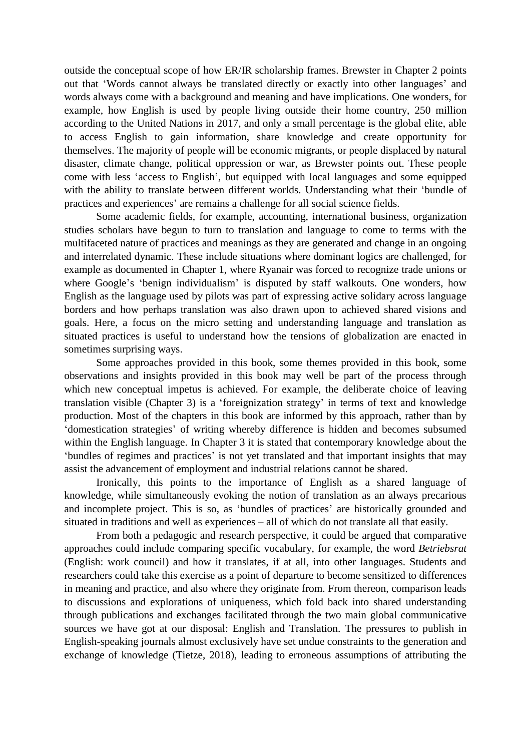outside the conceptual scope of how ER/IR scholarship frames. Brewster in Chapter 2 points out that 'Words cannot always be translated directly or exactly into other languages' and words always come with a background and meaning and have implications. One wonders, for example, how English is used by people living outside their home country, 250 million according to the United Nations in 2017, and only a small percentage is the global elite, able to access English to gain information, share knowledge and create opportunity for themselves. The majority of people will be economic migrants, or people displaced by natural disaster, climate change, political oppression or war, as Brewster points out. These people come with less 'access to English', but equipped with local languages and some equipped with the ability to translate between different worlds. Understanding what their 'bundle of practices and experiences' are remains a challenge for all social science fields.

Some academic fields, for example, accounting, international business, organization studies scholars have begun to turn to translation and language to come to terms with the multifaceted nature of practices and meanings as they are generated and change in an ongoing and interrelated dynamic. These include situations where dominant logics are challenged, for example as documented in Chapter 1, where Ryanair was forced to recognize trade unions or where Google's 'benign individualism' is disputed by staff walkouts. One wonders, how English as the language used by pilots was part of expressing active solidary across language borders and how perhaps translation was also drawn upon to achieved shared visions and goals. Here, a focus on the micro setting and understanding language and translation as situated practices is useful to understand how the tensions of globalization are enacted in sometimes surprising ways.

Some approaches provided in this book, some themes provided in this book, some observations and insights provided in this book may well be part of the process through which new conceptual impetus is achieved. For example, the deliberate choice of leaving translation visible (Chapter 3) is a 'foreignization strategy' in terms of text and knowledge production. Most of the chapters in this book are informed by this approach, rather than by 'domestication strategies' of writing whereby difference is hidden and becomes subsumed within the English language. In Chapter 3 it is stated that contemporary knowledge about the 'bundles of regimes and practices' is not yet translated and that important insights that may assist the advancement of employment and industrial relations cannot be shared.

Ironically, this points to the importance of English as a shared language of knowledge, while simultaneously evoking the notion of translation as an always precarious and incomplete project. This is so, as 'bundles of practices' are historically grounded and situated in traditions and well as experiences – all of which do not translate all that easily.

From both a pedagogic and research perspective, it could be argued that comparative approaches could include comparing specific vocabulary, for example, the word *Betriebsrat* (English: work council) and how it translates, if at all, into other languages. Students and researchers could take this exercise as a point of departure to become sensitized to differences in meaning and practice, and also where they originate from. From thereon, comparison leads to discussions and explorations of uniqueness, which fold back into shared understanding through publications and exchanges facilitated through the two main global communicative sources we have got at our disposal: English and Translation. The pressures to publish in English-speaking journals almost exclusively have set undue constraints to the generation and exchange of knowledge (Tietze, 2018), leading to erroneous assumptions of attributing the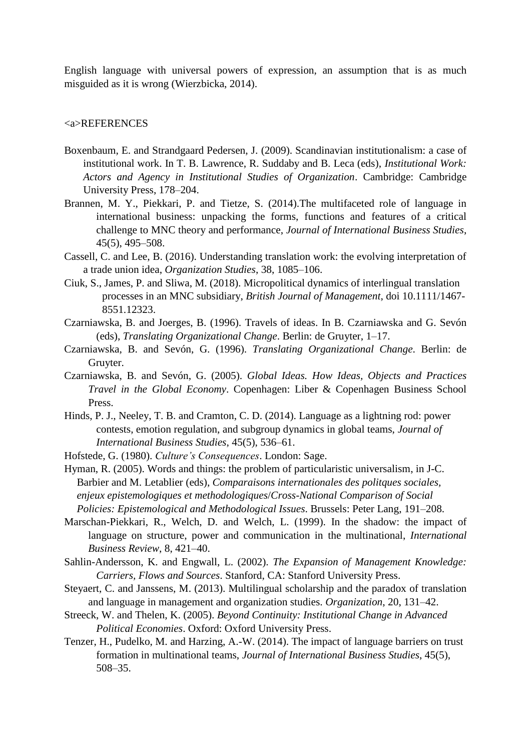English language with universal powers of expression, an assumption that is as much misguided as it is wrong (Wierzbicka, 2014).

#### <a>REFERENCES

- Boxenbaum, E. and Strandgaard Pedersen, J. (2009). Scandinavian institutionalism: a case of institutional work. In T. B. Lawrence, R. Suddaby and B. Leca (eds), *Institutional Work: Actors and Agency in Institutional Studies of Organization*. Cambridge: Cambridge University Press, 178–204.
- Brannen, M. Y., Piekkari, P. and Tietze, S. (2014).The multifaceted role of language in international business: unpacking the forms, functions and features of a critical challenge to MNC theory and performance, *Journal of International Business Studies*, 45(5), 495‒508.
- Cassell, C. and Lee, B. (2016). Understanding translation work: the evolving interpretation of a trade union idea, *Organization Studies*, 38, 1085–106.
- Ciuk, S., James, P. and Sliwa, M. (2018). Micropolitical dynamics of interlingual translation processes in an MNC subsidiary, *British Journal of Management*, doi 10.1111/1467- 8551.12323.
- Czarniawska, B. and Joerges, B. (1996). Travels of ideas. In B. Czarniawska and G. Sevón (eds), *Translating Organizational Change*. Berlin: de Gruyter, 1–17.
- Czarniawska, B. and Sevón, G. (1996). *Translating Organizational Change*. Berlin: de Gruyter.
- Czarniawska, B. and Sevón, G. (2005). *Global Ideas. How Ideas, Objects and Practices Travel in the Global Economy*. Copenhagen: Liber & Copenhagen Business School Press.
- Hinds, P. J., Neeley, T. B. and Cramton, C. D. (2014). Language as a lightning rod: power contests, emotion regulation, and subgroup dynamics in global teams, *Journal of International Business Studies*, 45(5), 536–61.
- Hofstede, G. (1980). *Culture's Consequences*. London: Sage.
- Hyman, R. (2005). Words and things: the problem of particularistic universalism, in J-C. Barbier and M. Letablier (eds), *Comparaisons internationales des politques sociales, enjeux epistemologiques et methodologiques*/*Cross-National Comparison of Social Policies: Epistemological and Methodological Issues*. Brussels: Peter Lang, 191–208.
- Marschan-Piekkari, R., Welch, D. and Welch, L. (1999). In the shadow: the impact of language on structure, power and communication in the multinational, *International Business Review*, 8, 421–40.
- Sahlin-Andersson, K. and Engwall, L. (2002). *The Expansion of Management Knowledge: Carriers, Flows and Sources*. Stanford, CA: Stanford University Press.
- Steyaert, C. and Janssens, M. (2013). Multilingual scholarship and the paradox of translation and language in management and organization studies. *Organization*, 20, 131–42.
- Streeck, W. and Thelen, K. (2005). *Beyond Continuity: Institutional Change in Advanced Political Economies*. Oxford: Oxford University Press.
- Tenzer, H., Pudelko, M. and Harzing, A.-W. (2014). The impact of language barriers on trust formation in multinational teams, *Journal of International Business Studies*, 45(5), 508–35.